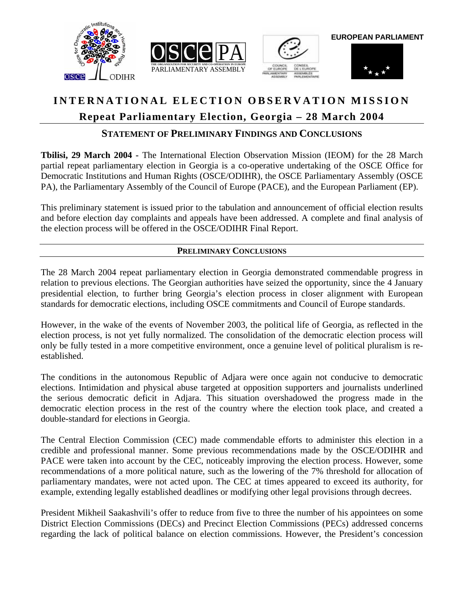





**EUROPEAN PARLIAMENT**



# **INTERNATIONAL ELECTION OBSERVATION MISSION Repeat Parliamentary Election, Georgia – 28 March 2004**

# **STATEMENT OF PRELIMINARY FINDINGS AND CONCLUSIONS**

**Tbilisi, 29 March 2004 -** The International Election Observation Mission (IEOM) for the 28 March partial repeat parliamentary election in Georgia is a co-operative undertaking of the OSCE Office for Democratic Institutions and Human Rights (OSCE/ODIHR), the OSCE Parliamentary Assembly (OSCE PA), the Parliamentary Assembly of the Council of Europe (PACE), and the European Parliament (EP).

This preliminary statement is issued prior to the tabulation and announcement of official election results and before election day complaints and appeals have been addressed. A complete and final analysis of the election process will be offered in the OSCE/ODIHR Final Report.

## **PRELIMINARY CONCLUSIONS**

The 28 March 2004 repeat parliamentary election in Georgia demonstrated commendable progress in relation to previous elections. The Georgian authorities have seized the opportunity, since the 4 January presidential election, to further bring Georgia's election process in closer alignment with European standards for democratic elections, including OSCE commitments and Council of Europe standards.

However, in the wake of the events of November 2003, the political life of Georgia, as reflected in the election process, is not yet fully normalized. The consolidation of the democratic election process will only be fully tested in a more competitive environment, once a genuine level of political pluralism is reestablished.

The conditions in the autonomous Republic of Adjara were once again not conducive to democratic elections. Intimidation and physical abuse targeted at opposition supporters and journalists underlined the serious democratic deficit in Adjara. This situation overshadowed the progress made in the democratic election process in the rest of the country where the election took place, and created a double-standard for elections in Georgia.

The Central Election Commission (CEC) made commendable efforts to administer this election in a credible and professional manner. Some previous recommendations made by the OSCE/ODIHR and PACE were taken into account by the CEC, noticeably improving the election process. However, some recommendations of a more political nature, such as the lowering of the 7% threshold for allocation of parliamentary mandates, were not acted upon. The CEC at times appeared to exceed its authority, for example, extending legally established deadlines or modifying other legal provisions through decrees.

President Mikheil Saakashvili's offer to reduce from five to three the number of his appointees on some District Election Commissions (DECs) and Precinct Election Commissions (PECs) addressed concerns regarding the lack of political balance on election commissions. However, the President's concession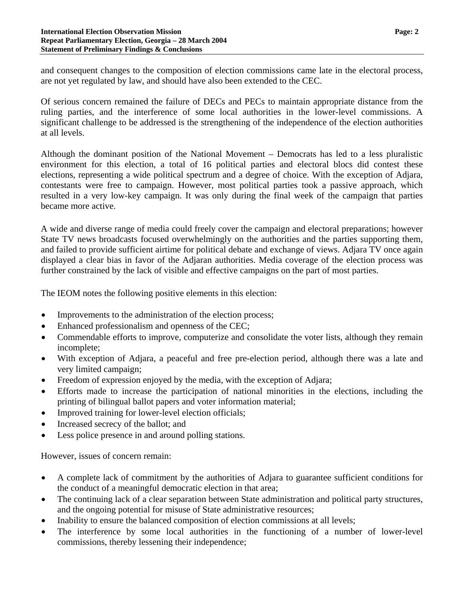and consequent changes to the composition of election commissions came late in the electoral process, are not yet regulated by law, and should have also been extended to the CEC.

Of serious concern remained the failure of DECs and PECs to maintain appropriate distance from the ruling parties, and the interference of some local authorities in the lower-level commissions. A significant challenge to be addressed is the strengthening of the independence of the election authorities at all levels.

Although the dominant position of the National Movement – Democrats has led to a less pluralistic environment for this election, a total of 16 political parties and electoral blocs did contest these elections, representing a wide political spectrum and a degree of choice. With the exception of Adjara, contestants were free to campaign. However, most political parties took a passive approach, which resulted in a very low-key campaign. It was only during the final week of the campaign that parties became more active.

A wide and diverse range of media could freely cover the campaign and electoral preparations; however State TV news broadcasts focused overwhelmingly on the authorities and the parties supporting them, and failed to provide sufficient airtime for political debate and exchange of views. Adjara TV once again displayed a clear bias in favor of the Adjaran authorities. Media coverage of the election process was further constrained by the lack of visible and effective campaigns on the part of most parties.

The IEOM notes the following positive elements in this election:

- Improvements to the administration of the election process;
- Enhanced professionalism and openness of the CEC;
- Commendable efforts to improve, computerize and consolidate the voter lists, although they remain incomplete;
- With exception of Adjara, a peaceful and free pre-election period, although there was a late and very limited campaign;
- Freedom of expression enjoyed by the media, with the exception of Adjara;
- Efforts made to increase the participation of national minorities in the elections, including the printing of bilingual ballot papers and voter information material;
- Improved training for lower-level election officials;
- Increased secrecy of the ballot; and
- Less police presence in and around polling stations.

However, issues of concern remain:

- A complete lack of commitment by the authorities of Adjara to guarantee sufficient conditions for the conduct of a meaningful democratic election in that area;
- The continuing lack of a clear separation between State administration and political party structures, and the ongoing potential for misuse of State administrative resources;
- Inability to ensure the balanced composition of election commissions at all levels;
- The interference by some local authorities in the functioning of a number of lower-level commissions, thereby lessening their independence;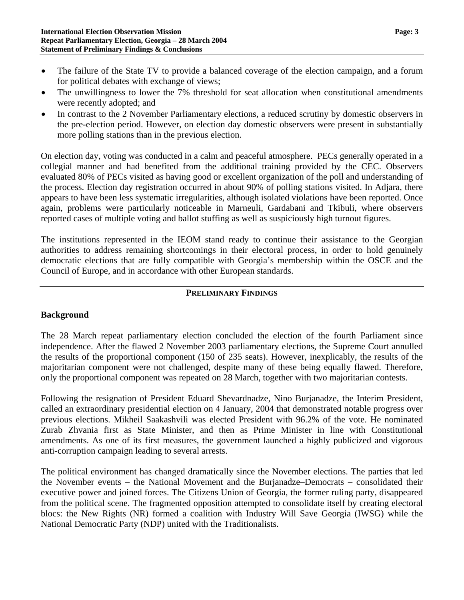- The failure of the State TV to provide a balanced coverage of the election campaign, and a forum for political debates with exchange of views;
- The unwillingness to lower the 7% threshold for seat allocation when constitutional amendments were recently adopted; and
- In contrast to the 2 November Parliamentary elections, a reduced scrutiny by domestic observers in the pre-election period. However, on election day domestic observers were present in substantially more polling stations than in the previous election.

On election day, voting was conducted in a calm and peaceful atmosphere. PECs generally operated in a collegial manner and had benefited from the additional training provided by the CEC. Observers evaluated 80% of PECs visited as having good or excellent organization of the poll and understanding of the process. Election day registration occurred in about 90% of polling stations visited. In Adjara, there appears to have been less systematic irregularities, although isolated violations have been reported. Once again, problems were particularly noticeable in Marneuli, Gardabani and Tkibuli, where observers reported cases of multiple voting and ballot stuffing as well as suspiciously high turnout figures.

The institutions represented in the IEOM stand ready to continue their assistance to the Georgian authorities to address remaining shortcomings in their electoral process, in order to hold genuinely democratic elections that are fully compatible with Georgia's membership within the OSCE and the Council of Europe, and in accordance with other European standards.

#### **PRELIMINARY FINDINGS**

#### **Background**

The 28 March repeat parliamentary election concluded the election of the fourth Parliament since independence. After the flawed 2 November 2003 parliamentary elections, the Supreme Court annulled the results of the proportional component (150 of 235 seats). However, inexplicably, the results of the majoritarian component were not challenged, despite many of these being equally flawed. Therefore, only the proportional component was repeated on 28 March, together with two majoritarian contests.

Following the resignation of President Eduard Shevardnadze, Nino Burjanadze, the Interim President, called an extraordinary presidential election on 4 January, 2004 that demonstrated notable progress over previous elections. Mikheil Saakashvili was elected President with 96.2% of the vote. He nominated Zurab Zhvania first as State Minister, and then as Prime Minister in line with Constitutional amendments. As one of its first measures, the government launched a highly publicized and vigorous anti-corruption campaign leading to several arrests.

The political environment has changed dramatically since the November elections. The parties that led the November events – the National Movement and the Burjanadze–Democrats – consolidated their executive power and joined forces. The Citizens Union of Georgia, the former ruling party, disappeared from the political scene. The fragmented opposition attempted to consolidate itself by creating electoral blocs: the New Rights (NR) formed a coalition with Industry Will Save Georgia (IWSG) while the National Democratic Party (NDP) united with the Traditionalists.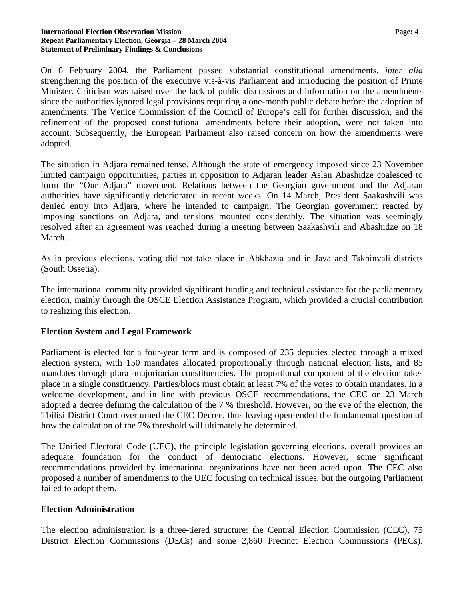On 6 February 2004, the Parliament passed substantial constitutional amendments, *inter alia* strengthening the position of the executive vis-à-vis Parliament and introducing the position of Prime Minister. Criticism was raised over the lack of public discussions and information on the amendments since the authorities ignored legal provisions requiring a one-month public debate before the adoption of amendments. The Venice Commission of the Council of Europe's call for further discussion, and the refinement of the proposed constitutional amendments before their adoption, were not taken into account. Subsequently, the European Parliament also raised concern on how the amendments were adopted.

The situation in Adjara remained tense. Although the state of emergency imposed since 23 November limited campaign opportunities, parties in opposition to Adjaran leader Aslan Abashidze coalesced to form the "Our Adjara" movement. Relations between the Georgian government and the Adjaran authorities have significantly deteriorated in recent weeks. On 14 March, President Saakashvili was denied entry into Adjara, where he intended to campaign. The Georgian government reacted by imposing sanctions on Adjara, and tensions mounted considerably. The situation was seemingly resolved after an agreement was reached during a meeting between Saakashvili and Abashidze on 18 March.

As in previous elections, voting did not take place in Abkhazia and in Java and Tskhinvali districts (South Ossetia).

The international community provided significant funding and technical assistance for the parliamentary election, mainly through the OSCE Election Assistance Program, which provided a crucial contribution to realizing this election.

#### **Election System and Legal Framework**

Parliament is elected for a four-year term and is composed of 235 deputies elected through a mixed election system, with 150 mandates allocated proportionally through national election lists, and 85 mandates through plural-majoritarian constituencies. The proportional component of the election takes place in a single constituency. Parties/blocs must obtain at least 7% of the votes to obtain mandates. In a welcome development, and in line with previous OSCE recommendations, the CEC on 23 March adopted a decree defining the calculation of the 7 % threshold. However, on the eve of the election, the Tbilisi District Court overturned the CEC Decree, thus leaving open-ended the fundamental question of how the calculation of the 7% threshold will ultimately be determined.

The Unified Electoral Code (UEC), the principle legislation governing elections, overall provides an adequate foundation for the conduct of democratic elections. However, some significant recommendations provided by international organizations have not been acted upon. The CEC also proposed a number of amendments to the UEC focusing on technical issues, but the outgoing Parliament failed to adopt them.

#### **Election Administration**

The election administration is a three-tiered structure: the Central Election Commission (CEC), 75 District Election Commissions (DECs) and some 2,860 Precinct Election Commissions (PECs).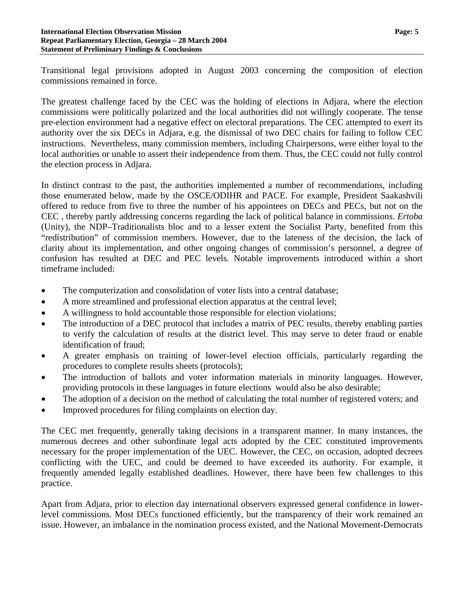Transitional legal provisions adopted in August 2003 concerning the composition of election commissions remained in force.

The greatest challenge faced by the CEC was the holding of elections in Adjara, where the election commissions were politically polarized and the local authorities did not willingly cooperate. The tense pre-election environment had a negative effect on electoral preparations. The CEC attempted to exert its authority over the six DECs in Adjara, e.g. the dismissal of two DEC chairs for failing to follow CEC instructions. Nevertheless, many commission members, including Chairpersons, were either loyal to the local authorities or unable to assert their independence from them. Thus, the CEC could not fully control the election process in Adjara.

In distinct contrast to the past, the authorities implemented a number of recommendations, including those enumerated below, made by the OSCE/ODIHR and PACE. For example, President Saakashvili offered to reduce from five to three the number of his appointees on DECs and PECs, but not on the CEC , thereby partly addressing concerns regarding the lack of political balance in commissions. *Ertoba* (Unity), the NDP–Traditionalists bloc and to a lesser extent the Socialist Party, benefited from this "redistribution" of commission members. However, due to the lateness of the decision, the lack of clarity about its implementation, and other ongoing changes of commission's personnel, a degree of confusion has resulted at DEC and PEC levels. Notable improvements introduced within a short timeframe included:

- The computerization and consolidation of voter lists into a central database;
- A more streamlined and professional election apparatus at the central level;
- A willingness to hold accountable those responsible for election violations;
- The introduction of a DEC protocol that includes a matrix of PEC results, thereby enabling parties to verify the calculation of results at the district level. This may serve to deter fraud or enable identification of fraud;
- A greater emphasis on training of lower-level election officials, particularly regarding the procedures to complete results sheets (protocols);
- The introduction of ballots and voter information materials in minority languages. However, providing protocols in these languages in future elections would also be also desirable;
- The adoption of a decision on the method of calculating the total number of registered voters; and
- Improved procedures for filing complaints on election day.

The CEC met frequently, generally taking decisions in a transparent manner. In many instances, the numerous decrees and other subordinate legal acts adopted by the CEC constituted improvements necessary for the proper implementation of the UEC. However, the CEC, on occasion, adopted decrees conflicting with the UEC, and could be deemed to have exceeded its authority. For example, it frequently amended legally established deadlines. However, there have been few challenges to this practice.

Apart from Adjara, prior to election day international observers expressed general confidence in lowerlevel commissions. Most DECs functioned efficiently, but the transparency of their work remained an issue. However, an imbalance in the nomination process existed, and the National Movement-Democrats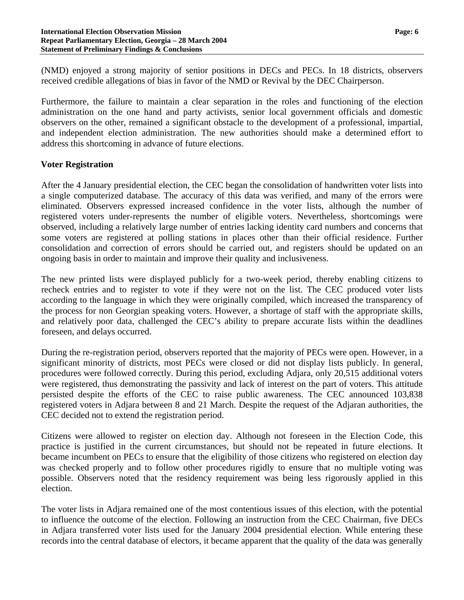(NMD) enjoyed a strong majority of senior positions in DECs and PECs. In 18 districts, observers received credible allegations of bias in favor of the NMD or Revival by the DEC Chairperson.

Furthermore, the failure to maintain a clear separation in the roles and functioning of the election administration on the one hand and party activists, senior local government officials and domestic observers on the other, remained a significant obstacle to the development of a professional, impartial, and independent election administration. The new authorities should make a determined effort to address this shortcoming in advance of future elections.

#### **Voter Registration**

After the 4 January presidential election, the CEC began the consolidation of handwritten voter lists into a single computerized database. The accuracy of this data was verified, and many of the errors were eliminated. Observers expressed increased confidence in the voter lists, although the number of registered voters under-represents the number of eligible voters. Nevertheless, shortcomings were observed, including a relatively large number of entries lacking identity card numbers and concerns that some voters are registered at polling stations in places other than their official residence. Further consolidation and correction of errors should be carried out, and registers should be updated on an ongoing basis in order to maintain and improve their quality and inclusiveness.

The new printed lists were displayed publicly for a two-week period, thereby enabling citizens to recheck entries and to register to vote if they were not on the list. The CEC produced voter lists according to the language in which they were originally compiled, which increased the transparency of the process for non Georgian speaking voters. However, a shortage of staff with the appropriate skills, and relatively poor data, challenged the CEC's ability to prepare accurate lists within the deadlines foreseen, and delays occurred.

During the re-registration period, observers reported that the majority of PECs were open. However, in a significant minority of districts, most PECs were closed or did not display lists publicly. In general, procedures were followed correctly. During this period, excluding Adjara, only 20,515 additional voters were registered, thus demonstrating the passivity and lack of interest on the part of voters. This attitude persisted despite the efforts of the CEC to raise public awareness. The CEC announced 103,838 registered voters in Adjara between 8 and 21 March. Despite the request of the Adjaran authorities, the CEC decided not to extend the registration period.

Citizens were allowed to register on election day. Although not foreseen in the Election Code, this practice is justified in the current circumstances, but should not be repeated in future elections. It became incumbent on PECs to ensure that the eligibility of those citizens who registered on election day was checked properly and to follow other procedures rigidly to ensure that no multiple voting was possible. Observers noted that the residency requirement was being less rigorously applied in this election.

The voter lists in Adjara remained one of the most contentious issues of this election, with the potential to influence the outcome of the election. Following an instruction from the CEC Chairman, five DECs in Adjara transferred voter lists used for the January 2004 presidential election. While entering these records into the central database of electors, it became apparent that the quality of the data was generally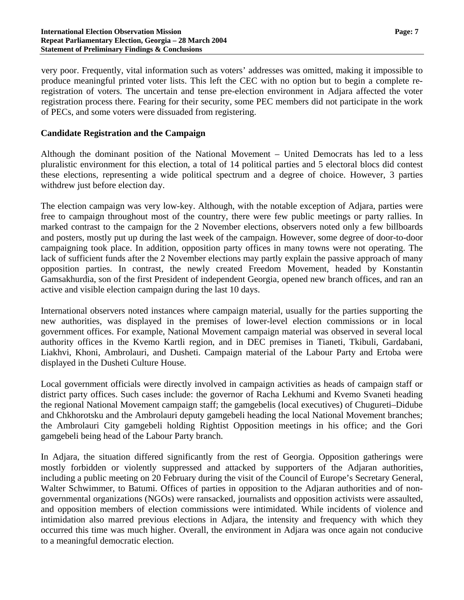very poor. Frequently, vital information such as voters' addresses was omitted, making it impossible to produce meaningful printed voter lists. This left the CEC with no option but to begin a complete reregistration of voters. The uncertain and tense pre-election environment in Adjara affected the voter registration process there. Fearing for their security, some PEC members did not participate in the work of PECs, and some voters were dissuaded from registering.

#### **Candidate Registration and the Campaign**

Although the dominant position of the National Movement – United Democrats has led to a less pluralistic environment for this election, a total of 14 political parties and 5 electoral blocs did contest these elections, representing a wide political spectrum and a degree of choice. However, 3 parties withdrew just before election day.

The election campaign was very low-key. Although, with the notable exception of Adjara, parties were free to campaign throughout most of the country, there were few public meetings or party rallies. In marked contrast to the campaign for the 2 November elections, observers noted only a few billboards and posters, mostly put up during the last week of the campaign. However, some degree of door-to-door campaigning took place. In addition, opposition party offices in many towns were not operating. The lack of sufficient funds after the 2 November elections may partly explain the passive approach of many opposition parties. In contrast, the newly created Freedom Movement, headed by Konstantin Gamsakhurdia, son of the first President of independent Georgia, opened new branch offices, and ran an active and visible election campaign during the last 10 days.

International observers noted instances where campaign material, usually for the parties supporting the new authorities, was displayed in the premises of lower-level election commissions or in local government offices. For example, National Movement campaign material was observed in several local authority offices in the Kvemo Kartli region, and in DEC premises in Tianeti, Tkibuli, Gardabani, Liakhvi, Khoni, Ambrolauri, and Dusheti. Campaign material of the Labour Party and Ertoba were displayed in the Dusheti Culture House.

Local government officials were directly involved in campaign activities as heads of campaign staff or district party offices. Such cases include: the governor of Racha Lekhumi and Kvemo Svaneti heading the regional National Movement campaign staff; the gamgebelis (local executives) of Chugureti–Didube and Chkhorotsku and the Ambrolauri deputy gamgebeli heading the local National Movement branches; the Ambrolauri City gamgebeli holding Rightist Opposition meetings in his office; and the Gori gamgebeli being head of the Labour Party branch.

In Adjara, the situation differed significantly from the rest of Georgia. Opposition gatherings were mostly forbidden or violently suppressed and attacked by supporters of the Adjaran authorities, including a public meeting on 20 February during the visit of the Council of Europe's Secretary General, Walter Schwimmer, to Batumi. Offices of parties in opposition to the Adjaran authorities and of nongovernmental organizations (NGOs) were ransacked, journalists and opposition activists were assaulted, and opposition members of election commissions were intimidated. While incidents of violence and intimidation also marred previous elections in Adjara, the intensity and frequency with which they occurred this time was much higher. Overall, the environment in Adjara was once again not conducive to a meaningful democratic election.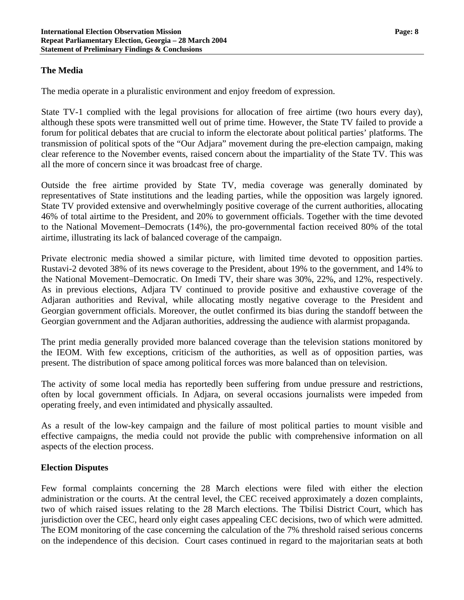### **The Media**

The media operate in a pluralistic environment and enjoy freedom of expression.

State TV-1 complied with the legal provisions for allocation of free airtime (two hours every day), although these spots were transmitted well out of prime time. However, the State TV failed to provide a forum for political debates that are crucial to inform the electorate about political parties' platforms. The transmission of political spots of the "Our Adjara" movement during the pre-election campaign, making clear reference to the November events, raised concern about the impartiality of the State TV. This was all the more of concern since it was broadcast free of charge.

Outside the free airtime provided by State TV, media coverage was generally dominated by representatives of State institutions and the leading parties, while the opposition was largely ignored. State TV provided extensive and overwhelmingly positive coverage of the current authorities, allocating 46% of total airtime to the President, and 20% to government officials. Together with the time devoted to the National Movement–Democrats (14%), the pro-governmental faction received 80% of the total airtime, illustrating its lack of balanced coverage of the campaign.

Private electronic media showed a similar picture, with limited time devoted to opposition parties. Rustavi-2 devoted 38% of its news coverage to the President, about 19% to the government, and 14% to the National Movement–Democratic. On Imedi TV, their share was 30%, 22%, and 12%, respectively. As in previous elections, Adjara TV continued to provide positive and exhaustive coverage of the Adjaran authorities and Revival, while allocating mostly negative coverage to the President and Georgian government officials. Moreover, the outlet confirmed its bias during the standoff between the Georgian government and the Adjaran authorities, addressing the audience with alarmist propaganda.

The print media generally provided more balanced coverage than the television stations monitored by the IEOM. With few exceptions, criticism of the authorities, as well as of opposition parties, was present. The distribution of space among political forces was more balanced than on television.

The activity of some local media has reportedly been suffering from undue pressure and restrictions, often by local government officials. In Adjara, on several occasions journalists were impeded from operating freely, and even intimidated and physically assaulted.

As a result of the low-key campaign and the failure of most political parties to mount visible and effective campaigns, the media could not provide the public with comprehensive information on all aspects of the election process.

#### **Election Disputes**

Few formal complaints concerning the 28 March elections were filed with either the election administration or the courts. At the central level, the CEC received approximately a dozen complaints, two of which raised issues relating to the 28 March elections. The Tbilisi District Court, which has jurisdiction over the CEC, heard only eight cases appealing CEC decisions, two of which were admitted. The EOM monitoring of the case concerning the calculation of the 7% threshold raised serious concerns on the independence of this decision. Court cases continued in regard to the majoritarian seats at both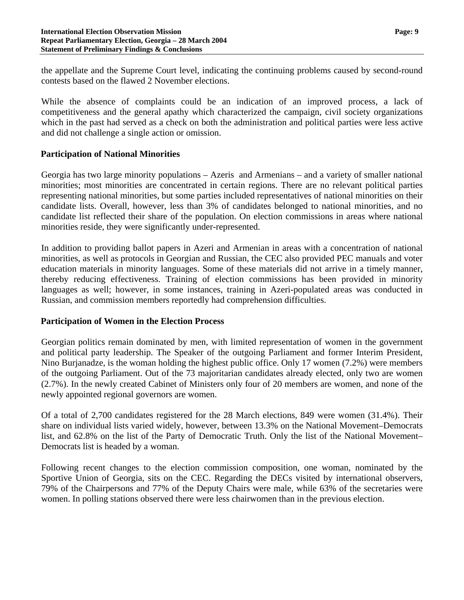the appellate and the Supreme Court level, indicating the continuing problems caused by second-round contests based on the flawed 2 November elections.

While the absence of complaints could be an indication of an improved process, a lack of competitiveness and the general apathy which characterized the campaign, civil society organizations which in the past had served as a check on both the administration and political parties were less active and did not challenge a single action or omission.

### **Participation of National Minorities**

Georgia has two large minority populations – Azeris and Armenians – and a variety of smaller national minorities; most minorities are concentrated in certain regions. There are no relevant political parties representing national minorities, but some parties included representatives of national minorities on their candidate lists. Overall, however, less than 3% of candidates belonged to national minorities, and no candidate list reflected their share of the population. On election commissions in areas where national minorities reside, they were significantly under-represented.

In addition to providing ballot papers in Azeri and Armenian in areas with a concentration of national minorities, as well as protocols in Georgian and Russian, the CEC also provided PEC manuals and voter education materials in minority languages. Some of these materials did not arrive in a timely manner, thereby reducing effectiveness. Training of election commissions has been provided in minority languages as well; however, in some instances, training in Azeri-populated areas was conducted in Russian, and commission members reportedly had comprehension difficulties.

#### **Participation of Women in the Election Process**

Georgian politics remain dominated by men, with limited representation of women in the government and political party leadership. The Speaker of the outgoing Parliament and former Interim President, Nino Burjanadze, is the woman holding the highest public office. Only 17 women (7.2%) were members of the outgoing Parliament. Out of the 73 majoritarian candidates already elected, only two are women (2.7%). In the newly created Cabinet of Ministers only four of 20 members are women, and none of the newly appointed regional governors are women.

Of a total of 2,700 candidates registered for the 28 March elections, 849 were women (31.4%). Their share on individual lists varied widely, however, between 13.3% on the National Movement–Democrats list, and 62.8% on the list of the Party of Democratic Truth. Only the list of the National Movement– Democrats list is headed by a woman.

Following recent changes to the election commission composition, one woman, nominated by the Sportive Union of Georgia, sits on the CEC. Regarding the DECs visited by international observers, 79% of the Chairpersons and 77% of the Deputy Chairs were male, while 63% of the secretaries were women. In polling stations observed there were less chairwomen than in the previous election.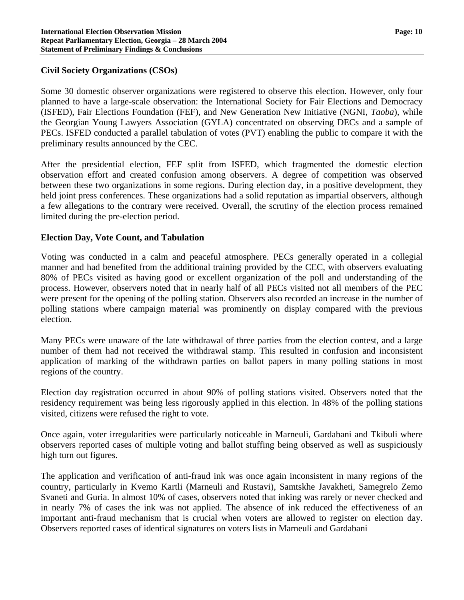#### **Civil Society Organizations (CSOs)**

Some 30 domestic observer organizations were registered to observe this election. However, only four planned to have a large-scale observation: the International Society for Fair Elections and Democracy (ISFED), Fair Elections Foundation (FEF), and New Generation New Initiative (NGNI, *Taoba*), while the Georgian Young Lawyers Association (GYLA) concentrated on observing DECs and a sample of PECs. ISFED conducted a parallel tabulation of votes (PVT) enabling the public to compare it with the preliminary results announced by the CEC.

After the presidential election, FEF split from ISFED, which fragmented the domestic election observation effort and created confusion among observers. A degree of competition was observed between these two organizations in some regions. During election day, in a positive development, they held joint press conferences. These organizations had a solid reputation as impartial observers, although a few allegations to the contrary were received. Overall, the scrutiny of the election process remained limited during the pre-election period.

#### **Election Day, Vote Count, and Tabulation**

Voting was conducted in a calm and peaceful atmosphere. PECs generally operated in a collegial manner and had benefited from the additional training provided by the CEC, with observers evaluating 80% of PECs visited as having good or excellent organization of the poll and understanding of the process. However, observers noted that in nearly half of all PECs visited not all members of the PEC were present for the opening of the polling station. Observers also recorded an increase in the number of polling stations where campaign material was prominently on display compared with the previous election.

Many PECs were unaware of the late withdrawal of three parties from the election contest, and a large number of them had not received the withdrawal stamp. This resulted in confusion and inconsistent application of marking of the withdrawn parties on ballot papers in many polling stations in most regions of the country.

Election day registration occurred in about 90% of polling stations visited. Observers noted that the residency requirement was being less rigorously applied in this election. In 48% of the polling stations visited, citizens were refused the right to vote.

Once again, voter irregularities were particularly noticeable in Marneuli, Gardabani and Tkibuli where observers reported cases of multiple voting and ballot stuffing being observed as well as suspiciously high turn out figures.

The application and verification of anti-fraud ink was once again inconsistent in many regions of the country, particularly in Kvemo Kartli (Marneuli and Rustavi), Samtskhe Javakheti, Samegrelo Zemo Svaneti and Guria. In almost 10% of cases, observers noted that inking was rarely or never checked and in nearly 7% of cases the ink was not applied. The absence of ink reduced the effectiveness of an important anti-fraud mechanism that is crucial when voters are allowed to register on election day. Observers reported cases of identical signatures on voters lists in Marneuli and Gardabani